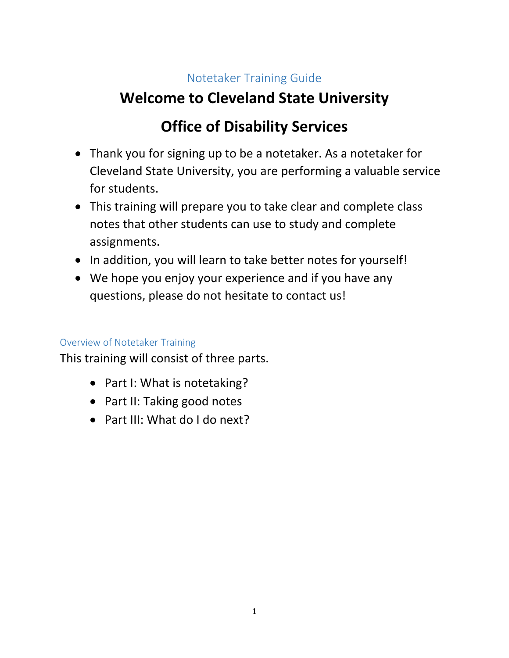## Notetaker Training Guide

# **Welcome to Cleveland State University**

# **Office of Disability Services**

- Thank you for signing up to be a notetaker. As a notetaker for Cleveland State University, you are performing a valuable service for students.
- This training will prepare you to take clear and complete class notes that other students can use to study and complete assignments.
- In addition, you will learn to take better notes for yourself!
- We hope you enjoy your experience and if you have any questions, please do not hesitate to contact us!

### Overview of Notetaker Training

This training will consist of three parts.

- Part I: What is notetaking?
- Part II: Taking good notes
- Part III: What do I do next?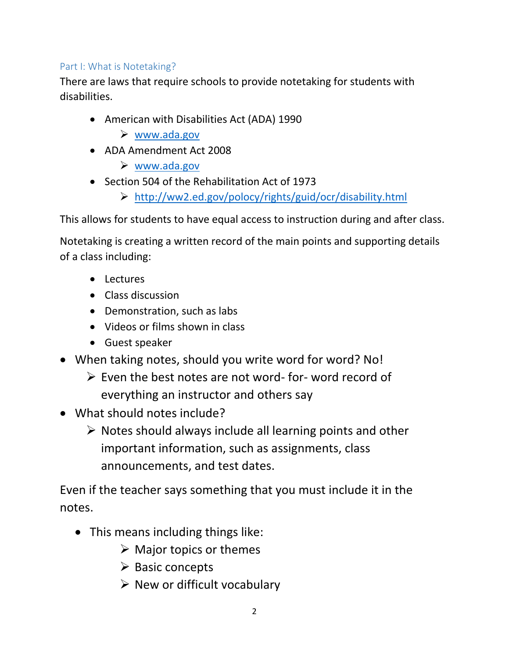#### Part I: What is Notetaking?

There are laws that require schools to provide notetaking for students with disabilities.

- American with Disabilities Act (ADA) 1990
	- [www.ada.gov](http://www.ada.gov/)
- ADA Amendment Act 2008
	- [www.ada.gov](http://www.ada.gov/)
- Section 504 of the Rehabilitation Act of 1973
	- <http://ww2.ed.gov/polocy/rights/guid/ocr/disability.html>

This allows for students to have equal access to instruction during and after class.

Notetaking is creating a written record of the main points and supporting details of a class including:

- Lectures
- Class discussion
- Demonstration, such as labs
- Videos or films shown in class
- Guest speaker
- When taking notes, should you write word for word? No!
	- $\triangleright$  Even the best notes are not word- for-word record of everything an instructor and others say
- What should notes include?
	- $\triangleright$  Notes should always include all learning points and other important information, such as assignments, class announcements, and test dates.

Even if the teacher says something that you must include it in the notes.

- This means including things like:
	- $\triangleright$  Major topics or themes
	- $\triangleright$  Basic concepts
	- $\triangleright$  New or difficult vocabulary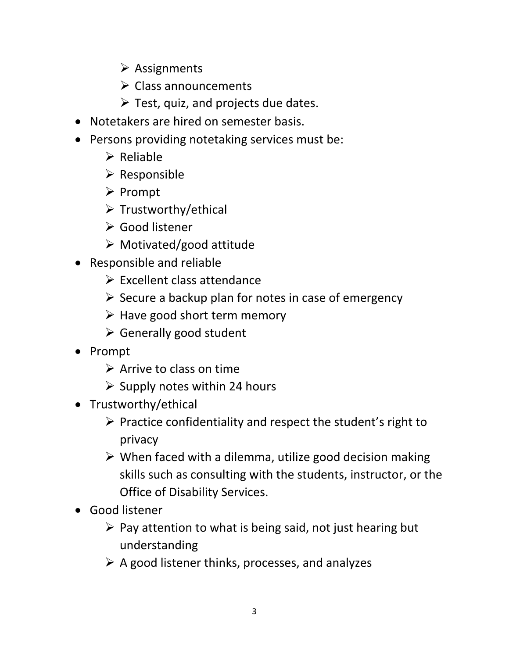- $\triangleright$  Assignments
- $\triangleright$  Class announcements
- $\triangleright$  Test, quiz, and projects due dates.
- Notetakers are hired on semester basis.
- Persons providing notetaking services must be:
	- $\triangleright$  Reliable
	- $\triangleright$  Responsible
	- $\triangleright$  Prompt
	- $\triangleright$  Trustworthy/ethical
	- Good listener
	- $\triangleright$  Motivated/good attitude
- Responsible and reliable
	- $\triangleright$  Excellent class attendance
	- $\triangleright$  Secure a backup plan for notes in case of emergency
	- $\triangleright$  Have good short term memory
	- $\triangleright$  Generally good student
- Prompt
	- $\triangleright$  Arrive to class on time
	- $\triangleright$  Supply notes within 24 hours
- Trustworthy/ethical
	- $\triangleright$  Practice confidentiality and respect the student's right to privacy
	- $\triangleright$  When faced with a dilemma, utilize good decision making skills such as consulting with the students, instructor, or the Office of Disability Services.
- Good listener
	- $\triangleright$  Pay attention to what is being said, not just hearing but understanding
	- $\triangleright$  A good listener thinks, processes, and analyzes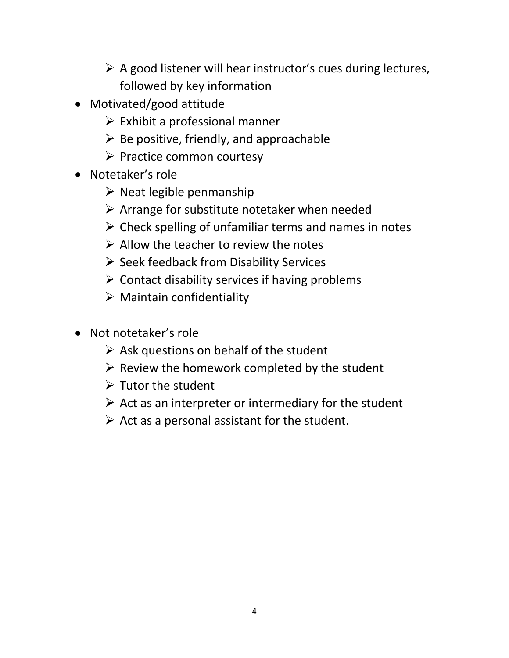- $\triangleright$  A good listener will hear instructor's cues during lectures, followed by key information
- Motivated/good attitude
	- $\triangleright$  Exhibit a professional manner
	- $\triangleright$  Be positive, friendly, and approachable
	- $\triangleright$  Practice common courtesy
- Notetaker's role
	- $\triangleright$  Neat legible penmanship
	- $\triangleright$  Arrange for substitute notetaker when needed
	- $\triangleright$  Check spelling of unfamiliar terms and names in notes
	- $\triangleright$  Allow the teacher to review the notes
	- $\triangleright$  Seek feedback from Disability Services
	- $\triangleright$  Contact disability services if having problems
	- $\triangleright$  Maintain confidentiality
- Not notetaker's role
	- $\triangleright$  Ask questions on behalf of the student
	- $\triangleright$  Review the homework completed by the student
	- $\triangleright$  Tutor the student
	- $\triangleright$  Act as an interpreter or intermediary for the student
	- $\triangleright$  Act as a personal assistant for the student.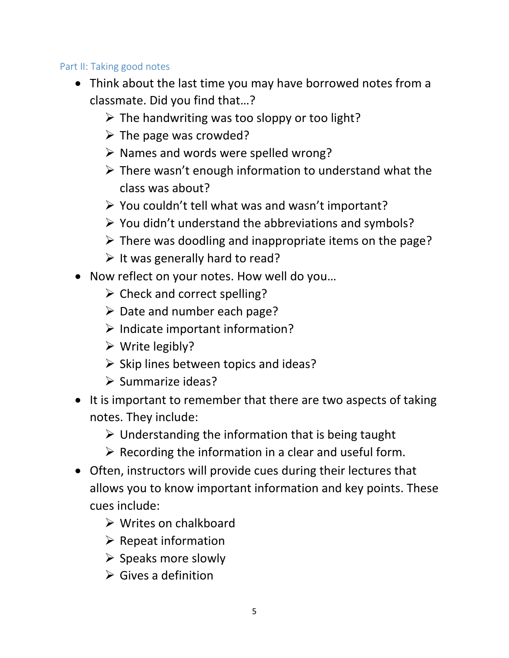### Part II: Taking good notes

- Think about the last time you may have borrowed notes from a classmate. Did you find that…?
	- $\triangleright$  The handwriting was too sloppy or too light?
	- $\triangleright$  The page was crowded?
	- $\triangleright$  Names and words were spelled wrong?
	- $\triangleright$  There wasn't enough information to understand what the class was about?
	- $\triangleright$  You couldn't tell what was and wasn't important?
	- $\triangleright$  You didn't understand the abbreviations and symbols?
	- $\triangleright$  There was doodling and inappropriate items on the page?
	- $\triangleright$  It was generally hard to read?
- Now reflect on your notes. How well do you…
	- $\triangleright$  Check and correct spelling?
	- $\triangleright$  Date and number each page?
	- $\triangleright$  Indicate important information?
	- $\triangleright$  Write legibly?
	- $\triangleright$  Skip lines between topics and ideas?
	- $\triangleright$  Summarize ideas?
- It is important to remember that there are two aspects of taking notes. They include:
	- $\triangleright$  Understanding the information that is being taught
	- $\triangleright$  Recording the information in a clear and useful form.
- Often, instructors will provide cues during their lectures that allows you to know important information and key points. These cues include:
	- $\triangleright$  Writes on chalkboard
	- $\triangleright$  Repeat information
	- $\triangleright$  Speaks more slowly
	- $\triangleright$  Gives a definition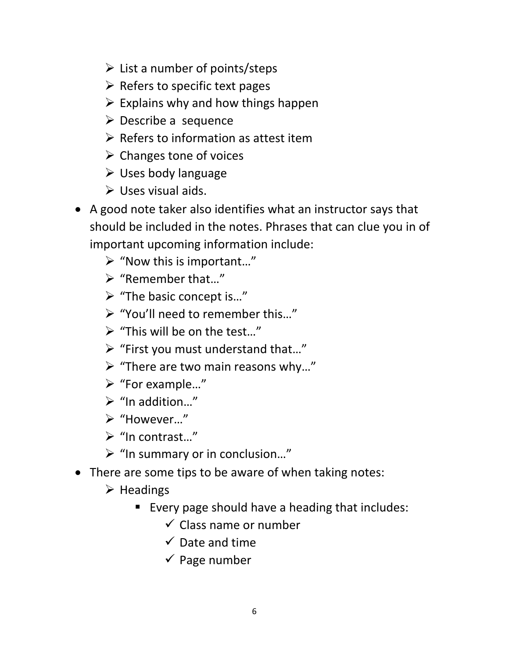- $\triangleright$  List a number of points/steps
- $\triangleright$  Refers to specific text pages
- $\triangleright$  Explains why and how things happen
- $\triangleright$  Describe a sequence
- $\triangleright$  Refers to information as attest item
- $\triangleright$  Changes tone of voices
- $\triangleright$  Uses body language
- $\triangleright$  Uses visual aids.
- A good note taker also identifies what an instructor says that should be included in the notes. Phrases that can clue you in of important upcoming information include:
	- $\triangleright$  "Now this is important..."
	- "Remember that…"
	- "The basic concept is…"
	- "You'll need to remember this…"
	- $\triangleright$  "This will be on the test..."
	- $\triangleright$  "First you must understand that..."
	- $\triangleright$  "There are two main reasons why..."
	- "For example…"
	- $\triangleright$  "In addition..."
	- "However…"
	- $\triangleright$  "In contrast..."
	- $\triangleright$  "In summary or in conclusion..."
- There are some tips to be aware of when taking notes:
	- $\triangleright$  Headings
		- Every page should have a heading that includes:
			- $\checkmark$  Class name or number
			- $\checkmark$  Date and time
			- $\checkmark$  Page number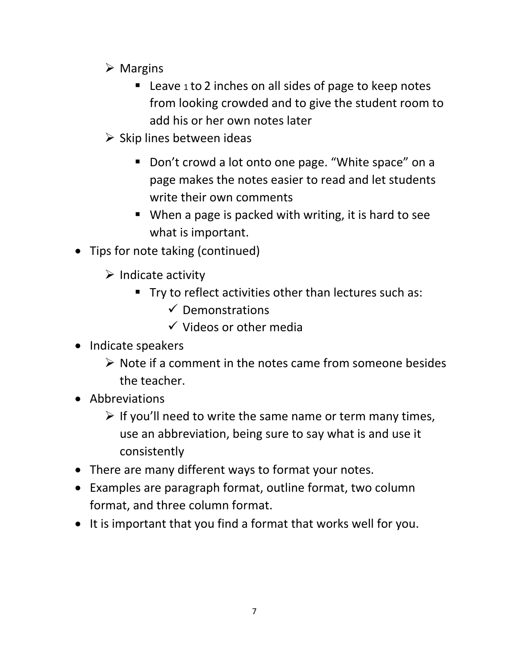- $\triangleright$  Margins
	- Leave 1 to 2 inches on all sides of page to keep notes from looking crowded and to give the student room to add his or her own notes later
- $\triangleright$  Skip lines between ideas
	- Don't crowd a lot onto one page. "White space" on a page makes the notes easier to read and let students write their own comments
	- When a page is packed with writing, it is hard to see what is important.
- Tips for note taking (continued)
	- $\triangleright$  Indicate activity
		- **Try to reflect activities other than lectures such as:** 
			- $\checkmark$  Demonstrations
			- $\checkmark$  Videos or other media
- Indicate speakers
	- $\triangleright$  Note if a comment in the notes came from someone besides the teacher.
- Abbreviations
	- $\triangleright$  If you'll need to write the same name or term many times, use an abbreviation, being sure to say what is and use it consistently
- There are many different ways to format your notes.
- Examples are paragraph format, outline format, two column format, and three column format.
- It is important that you find a format that works well for you.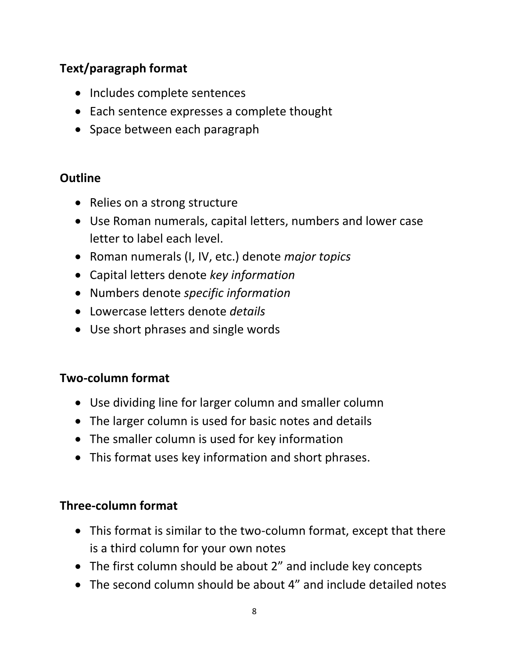## **Text/paragraph format**

- Includes complete sentences
- Each sentence expresses a complete thought
- Space between each paragraph

## **Outline**

- Relies on a strong structure
- Use Roman numerals, capital letters, numbers and lower case letter to label each level.
- Roman numerals (I, IV, etc.) denote *major topics*
- Capital letters denote *key information*
- Numbers denote *specific information*
- Lowercase letters denote *details*
- Use short phrases and single words

## **Two-column format**

- Use dividing line for larger column and smaller column
- The larger column is used for basic notes and details
- The smaller column is used for key information
- This format uses key information and short phrases.

## **Three-column format**

- This format is similar to the two-column format, except that there is a third column for your own notes
- The first column should be about 2" and include key concepts
- The second column should be about 4" and include detailed notes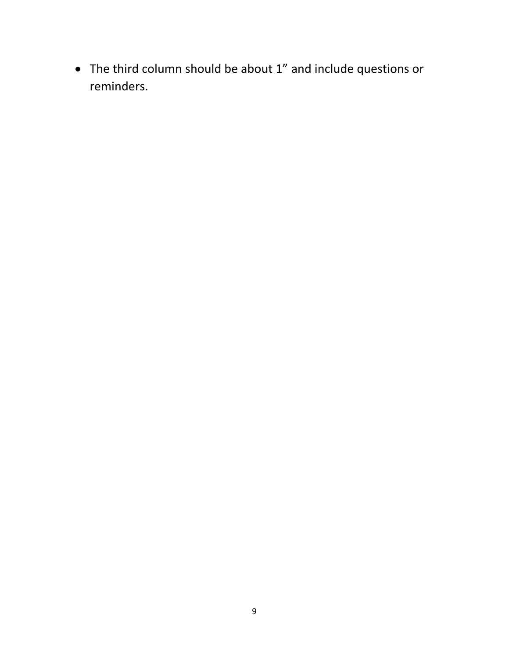The third column should be about 1" and include questions or reminders.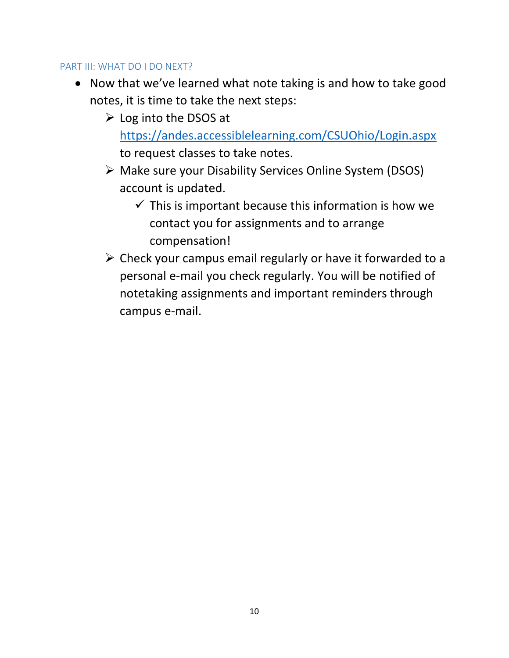#### PART III: WHAT DO I DO NEXT?

- Now that we've learned what note taking is and how to take good notes, it is time to take the next steps:
	- $\triangleright$  Log into the DSOS at <https://andes.accessiblelearning.com/CSUOhio/Login.aspx> to request classes to take notes.
	- Make sure your Disability Services Online System (DSOS) account is updated.
		- $\checkmark$  This is important because this information is how we contact you for assignments and to arrange compensation!
	- $\triangleright$  Check your campus email regularly or have it forwarded to a personal e-mail you check regularly. You will be notified of notetaking assignments and important reminders through campus e-mail.